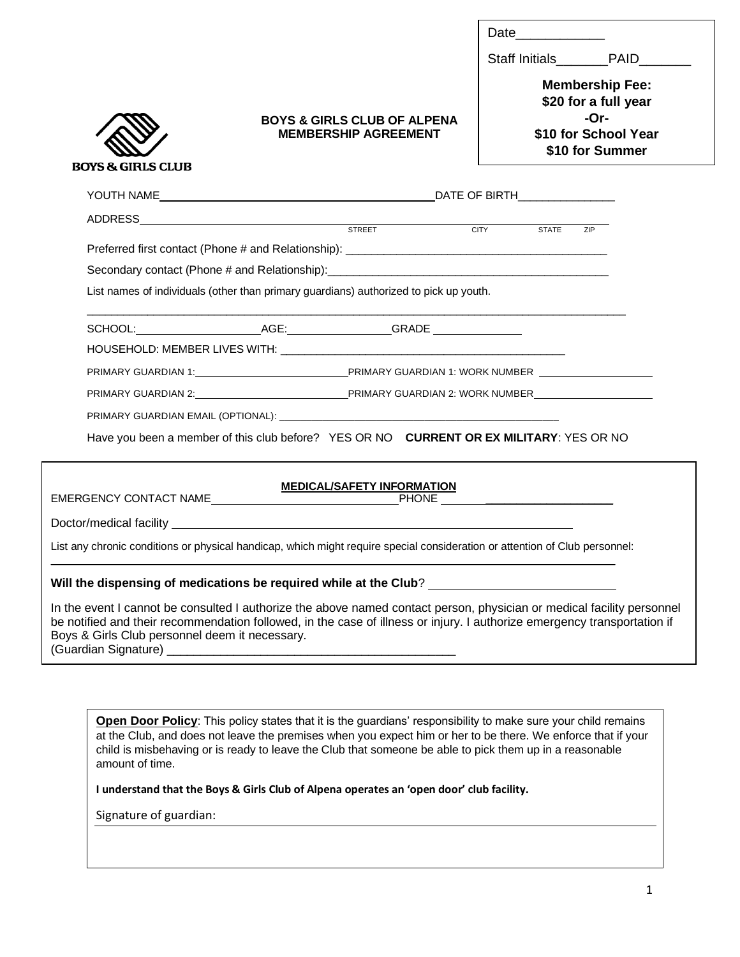| Date |  |  |  |
|------|--|--|--|
|      |  |  |  |

Ī

Staff Initials **PAID** 

**BOYS & GIRLS CLUB** 

# **BOYS & GIRLS CLUB OF ALPENA MEMBERSHIP AGREEMENT**

**Membership Fee: \$20 for a full year -Or- \$10 for School Year \$10 for Summer**

| ADDRESS STATE STATE STREET STREET CITY STATE                                          |  |                                                                             |  |  | <b>ZIP</b> |  |  |
|---------------------------------------------------------------------------------------|--|-----------------------------------------------------------------------------|--|--|------------|--|--|
|                                                                                       |  |                                                                             |  |  |            |  |  |
| Secondary contact (Phone # and Relationship):___________________________________      |  |                                                                             |  |  |            |  |  |
| List names of individuals (other than primary guardians) authorized to pick up youth. |  |                                                                             |  |  |            |  |  |
|                                                                                       |  |                                                                             |  |  |            |  |  |
|                                                                                       |  |                                                                             |  |  |            |  |  |
|                                                                                       |  |                                                                             |  |  |            |  |  |
|                                                                                       |  | PRIMARY GUARDIAN 1: UNIVERSITY ON A LITERAL PRIMARY GUARDIAN 1: WORK NUMBER |  |  |            |  |  |
|                                                                                       |  | PRIMARY GUARDIAN 2: NORTH THE PRIMARY GUARDIAN 2: WORK NUMBER               |  |  |            |  |  |
|                                                                                       |  |                                                                             |  |  |            |  |  |
|                                                                                       |  |                                                                             |  |  |            |  |  |

Have you been a member of this club before? YES OR NO **CURRENT OR EX MILITARY**: YES OR NO

# **MEDICAL/SAFETY INFORMATION**

EMERGENCY CONTACT NAME

Doctor/medical facility

List any chronic conditions or physical handicap, which might require special consideration or attention of Club personnel: \_\_\_\_\_\_\_\_\_\_\_\_\_\_\_\_\_\_\_\_\_\_\_\_\_\_\_\_\_\_\_\_\_\_\_\_\_\_\_\_\_\_\_\_\_\_\_\_\_\_\_ \_\_\_\_\_\_\_

# **Will the dispensing of medications be required while at the Club**?

In the event I cannot be consulted I authorize the above named contact person, physician or medical facility personnel be notified and their recommendation followed, in the case of illness or injury. I authorize emergency transportation if Boys & Girls Club personnel deem it necessary. (Guardian Signature) \_\_\_\_\_\_\_\_\_\_\_\_\_\_\_\_\_\_\_\_\_\_\_\_\_\_\_\_\_\_\_\_\_\_\_\_\_\_\_\_\_\_\_

**Open Door Policy**: This policy states that it is the guardians' responsibility to make sure your child remains at the Club, and does not leave the premises when you expect him or her to be there. We enforce that if your child is misbehaving or is ready to leave the Club that someone be able to pick them up in a reasonable amount of time.

**I understand that the Boys & Girls Club of Alpena operates an 'open door' club facility.**

Signature of guardian: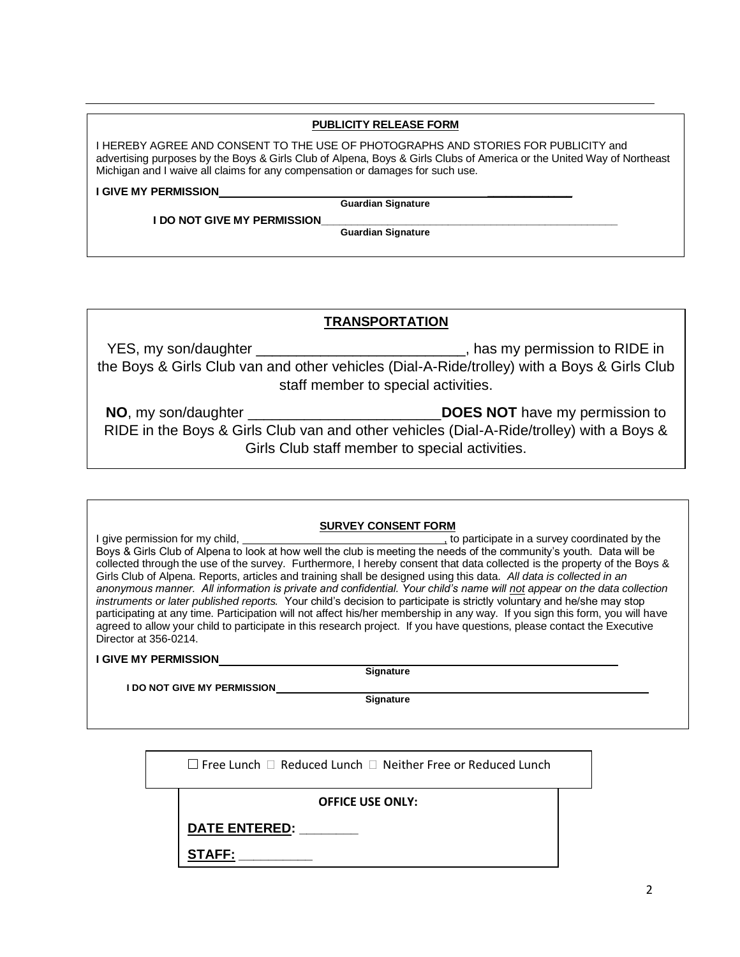# **PUBLICITY RELEASE FORM**

I HEREBY AGREE AND CONSENT TO THE USE OF PHOTOGRAPHS AND STORIES FOR PUBLICITY and advertising purposes by the Boys & Girls Club of Alpena, Boys & Girls Clubs of America or the United Way of Northeast Michigan and I waive all claims for any compensation or damages for such use.

**I GIVE MY PERMISSION \_\_\_\_\_\_\_\_\_\_\_\_\_\_**

**Guardian Signature**

**I DO NOT GIVE MY PERMISSION** 

**Guardian Signature**

# **TRANSPORTATION**

YES, my son/daughter \_\_\_\_\_\_\_\_\_\_\_\_\_\_\_\_\_\_\_\_\_\_\_\_\_\_\_, has my permission to RIDE in the Boys & Girls Club van and other vehicles (Dial-A-Ride/trolley) with a Boys & Girls Club staff member to special activities.

**NO**, my son/daughter \_\_\_\_\_\_\_\_\_\_\_\_\_\_\_\_\_\_\_\_\_\_\_\_**DOES NOT** have my permission to RIDE in the Boys & Girls Club van and other vehicles (Dial-A-Ride/trolley) with a Boys & Girls Club staff member to special activities.

# **SURVEY CONSENT FORM**

I give permission for my child,  $\qquad \qquad$ , to participate in a survey coordinated by the Boys & Girls Club of Alpena to look at how well the club is meeting the needs of the community's youth. Data will be collected through the use of the survey. Furthermore, I hereby consent that data collected is the property of the Boys & Girls Club of Alpena. Reports, articles and training shall be designed using this data. *All data is collected in an anonymous manner. All information is private and confidential. Your child's name will not appear on the data collection instruments or later published reports.* Your child's decision to participate is strictly voluntary and he/she may stop participating at any time. Participation will not affect his/her membership in any way. If you sign this form, you will have agreed to allow your child to participate in this research project. If you have questions, please contact the Executive Director at 356-0214.

#### **I GIVE MY PERMISSION**

**Signature**

**I DO NOT GIVE MY PERMISSION**

**Signature** 

 $\square$  Free Lunch  $\square$  Reduced Lunch  $\square$  Neither Free or Reduced Lunch

**OFFICE USE ONLY:**

**DATE ENTERED: \_\_\_\_\_\_\_\_**

**STAFF: \_\_\_\_\_\_\_\_\_\_**